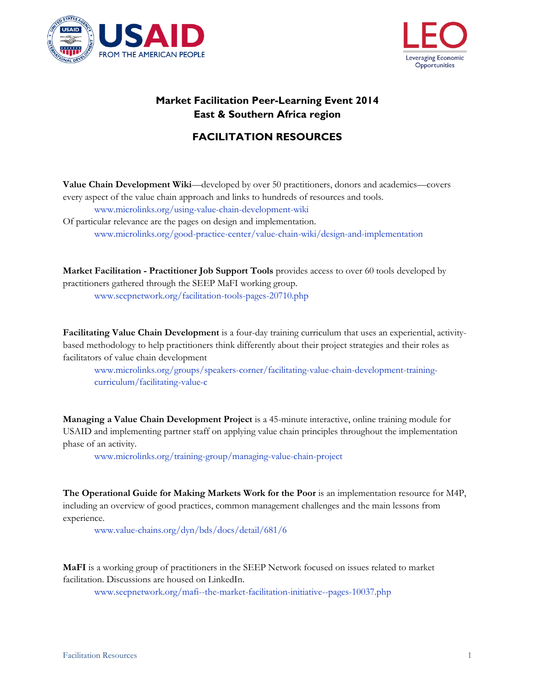



## **Market Facilitation Peer-Learning Event 2014 East & Southern Africa region**

## **FACILITATION RESOURCES**

**Value Chain Development Wiki**—developed by over 50 practitioners, donors and academics—covers every aspect of the value chain approach and links to hundreds of resources and tools.

[www.microlinks.org/using-value-chain-development-wiki](http://www.microlinks.org/using-value-chain-development-wiki)

Of particular relevance are the pages on design and implementation. [www.microlinks.org/good-practice-center/value-chain-wiki/design-and-implementation](http://www.microlinks.org/good-practice-center/value-chain-wiki/design-and-implementation)

**Market Facilitation - Practitioner Job Support Tools** provides access to over 60 tools developed by practitioners gathered through the SEEP MaFI working group.

[www.seepnetwork.org/facilitation-tools-pages-20710.php](http://www.seepnetwork.org/facilitation-tools-pages-20710.php)

**Facilitating Value Chain Development** is a four-day training curriculum that uses an experiential, activitybased methodology to help practitioners think differently about their project strategies and their roles as facilitators of value chain development

[www.microlinks.org/groups/speakers-corner/facilitating-value-chain-development-training](https://www.microlinks.org/groups/speakers-corner/facilitating-value-chain-development-training-curriculum/facilitating-value-c)[curriculum/facilitating-value-c](https://www.microlinks.org/groups/speakers-corner/facilitating-value-chain-development-training-curriculum/facilitating-value-c)

**Managing a Value Chain Development Project** is a 45-minute interactive, online training module for USAID and implementing partner staff on applying value chain principles throughout the implementation phase of an activity.

[www.microlinks.org/training-group/managing-value-chain-project](http://www.microlinks.org/training-group/managing-value-chain-project)

**The Operational Guide for Making Markets Work for the Poor** is an implementation resource for M4P, including an overview of good practices, common management challenges and the main lessons from experience.

[www.value-chains.org/dyn/bds/docs/detail/681/6](http://www.value-chains.org/dyn/bds/docs/detail/681/6)

**MaFI** is a working group of practitioners in the SEEP Network focused on issues related to market facilitation. Discussions are housed on LinkedIn.

[www.seepnetwork.org/mafi--the-market-facilitation-initiative--pages-10037.php](http://www.seepnetwork.org/mafi--the-market-facilitation-initiative--pages-10037.php)